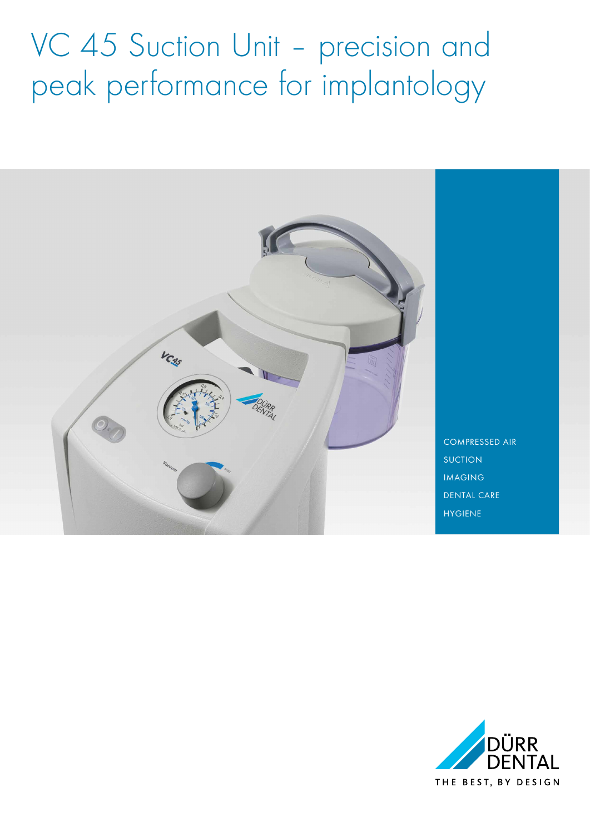# VC 45 Suction Unit - precision and peak performance for implantology



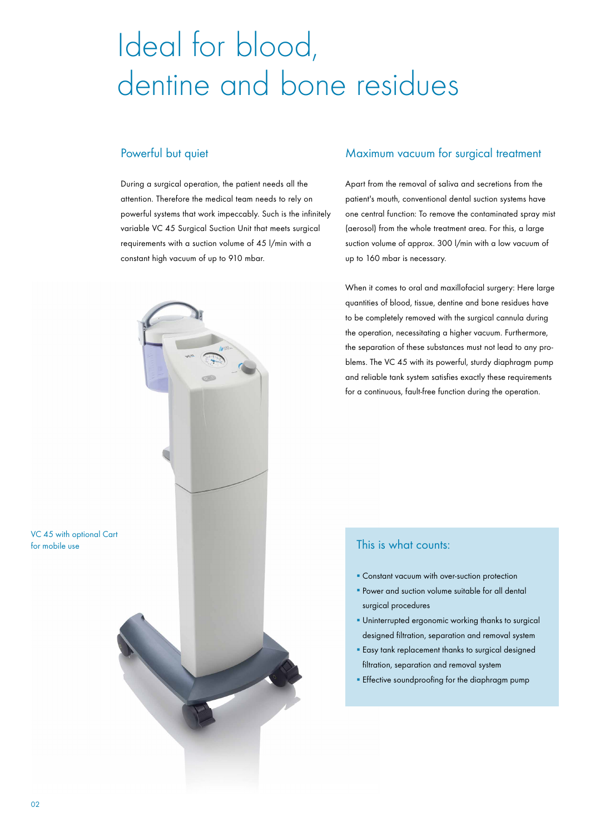## Ideal for blood, dentine and bone residues

#### Powerful but quiet

During a surgical operation, the patient needs all the attention. Therefore the medical team needs to rely on powerful systems that work impeccably. Such is the infinitely variable VC 45 Surgical Suction Unit that meets surgical requirements with a suction volume of 45 l/min with a constant high vacuum of up to 910 mbar.

#### Maximum vacuum for surgical treatment

Apart from the removal of saliva and secretions from the patient's mouth, conventional dental suction systems have one central function: To remove the contaminated spray mist (aerosol) from the whole treatment area. For this, a large suction volume of approx. 300 l/min with a low vacuum of up to 160 mbar is necessary.

When it comes to oral and maxillofacial surgery: Here large quantities of blood, tissue, dentine and bone residues have to be completely removed with the surgical cannula during the operation, necessitating a higher vacuum. Furthermore, the separation of these substances must not lead to any problems. The VC 45 with its powerful, sturdy diaphragm pump and reliable tank system satisfies exactly these requirements for a continuous, fault-free function during the operation.

#### This is what counts:

- Constant vacuum with over-suction protection
- **Power and suction volume suitable for all dental** surgical procedures
- **· Uninterrupted ergonomic working thanks to surgical** designed filtration, separation and removal system
- **Easy tank replacement thanks to surgical designed** filtration, separation and removal system
- **Effective soundproofing for the diaphragm pump**



VC 45 with optional Cart

for mobile use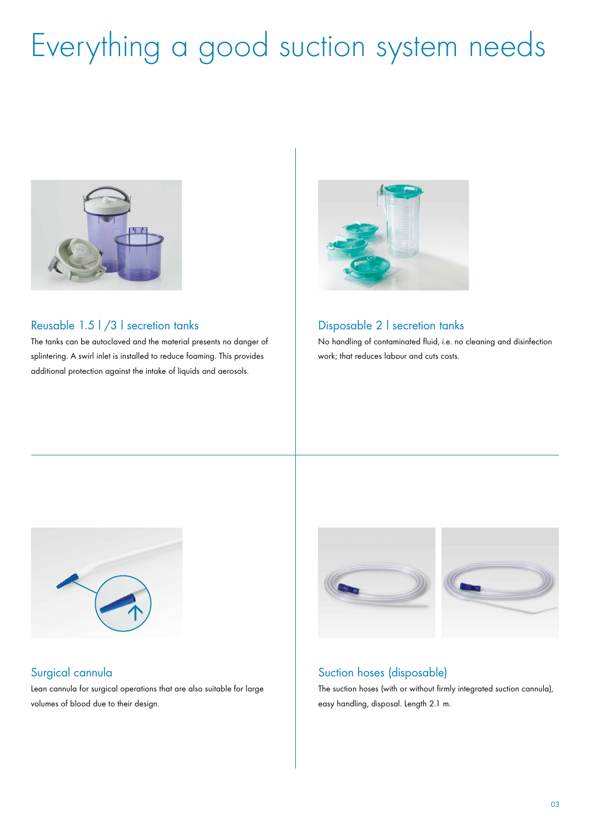# Everything a good suction system needs



#### Reusable 1.5 l /3 l secretion tanks

The tanks can be autoclaved and the material presents no danger of splintering. A swirl inlet is installed to reduce foaming. This provides additional protection against the intake of liquids and aerosols.



#### Disposable 2 l secretion tanks

No handling of contaminated fluid, i.e. no cleaning and disinfection work; that reduces labour and cuts costs.



## Surgical cannula

Lean cannula for surgical operations that are also suitable for large volumes of blood due to their design.



## Suction hoses (disposable)

The suction hoses (with or without firmly integrated suction cannula), easy handling, disposal. Length 2.1 m.